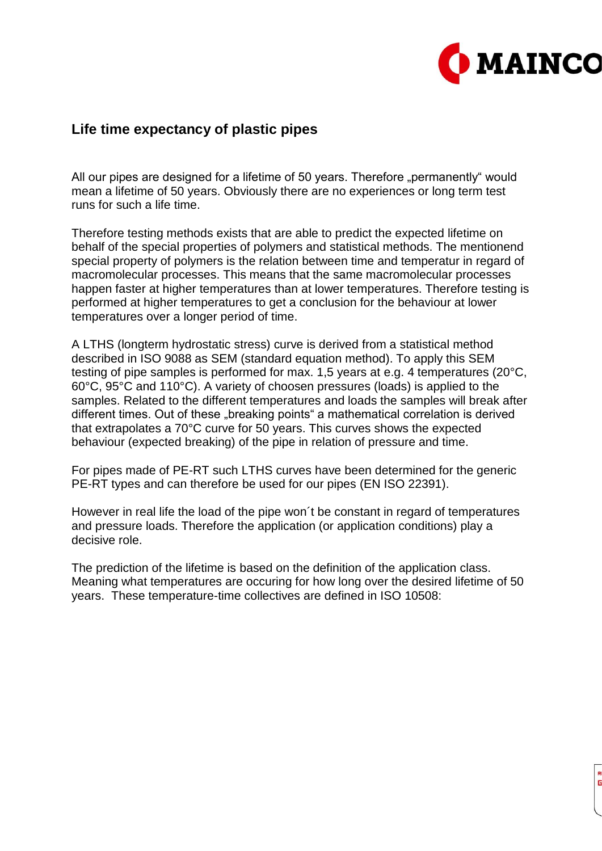

## **Life time expectancy of plastic pipes**

All our pipes are designed for a lifetime of 50 years. Therefore "permanently" would mean a lifetime of 50 years. Obviously there are no experiences or long term test runs for such a life time.

Therefore testing methods exists that are able to predict the expected lifetime on behalf of the special properties of polymers and statistical methods. The mentionend special property of polymers is the relation between time and temperatur in regard of macromolecular processes. This means that the same macromolecular processes happen faster at higher temperatures than at lower temperatures. Therefore testing is performed at higher temperatures to get a conclusion for the behaviour at lower temperatures over a longer period of time.

A LTHS (longterm hydrostatic stress) curve is derived from a statistical method described in ISO 9088 as SEM (standard equation method). To apply this SEM testing of pipe samples is performed for max. 1,5 years at e.g. 4 temperatures (20°C, 60°C, 95°C and 110°C). A variety of choosen pressures (loads) is applied to the samples. Related to the different temperatures and loads the samples will break after different times. Out of these "breaking points" a mathematical correlation is derived that extrapolates a 70°C curve for 50 years. This curves shows the expected behaviour (expected breaking) of the pipe in relation of pressure and time.

For pipes made of PE-RT such LTHS curves have been determined for the generic PE-RT types and can therefore be used for our pipes (EN ISO 22391).

However in real life the load of the pipe won´t be constant in regard of temperatures and pressure loads. Therefore the application (or application conditions) play a decisive role.

The prediction of the lifetime is based on the definition of the application class. Meaning what temperatures are occuring for how long over the desired lifetime of 50 years. These temperature-time collectives are defined in ISO 10508: